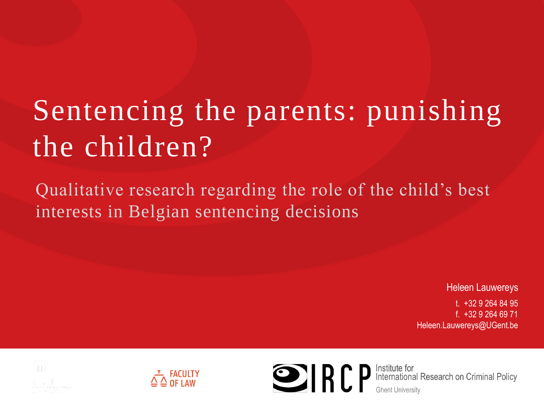# Sentencing the parents: punishing the children?

Qualitative research regarding the role of the child's best interests in Belgian sentencing decisions

Heleen Lauwereys

Ĩ

t. +32 9 264 84 95 f. +32 9 264 69 71 Heleen.Lauwereys@UGent.be







**ODER PERFECT** International Research on Criminal Policy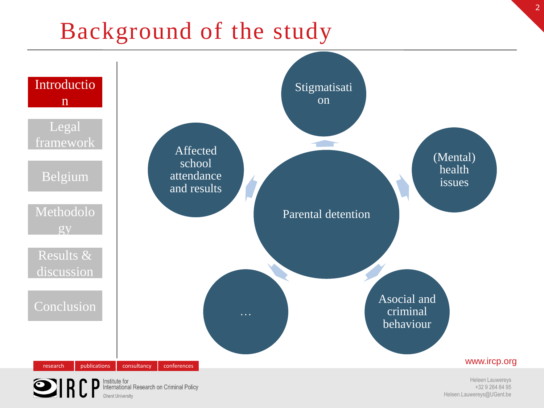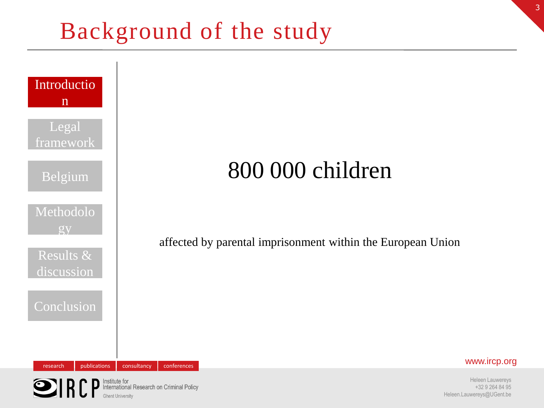

# 800 000 children

affected by parental imprisonment within the European Union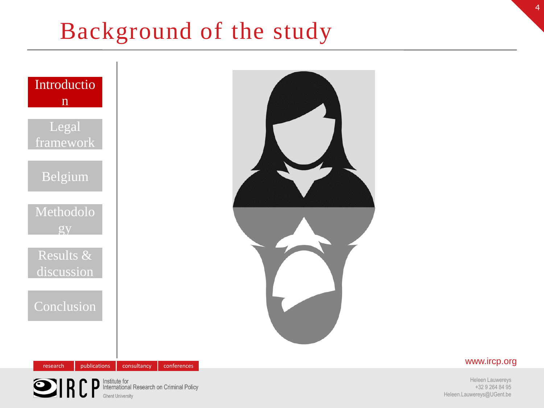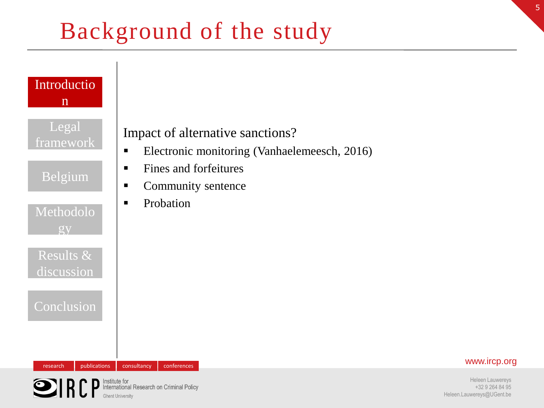

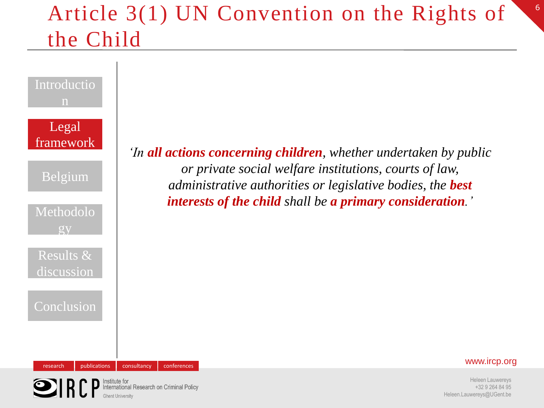## Article 3(1) UN Convention on the Rights of the Child





Heleen Lauwereys +32 9 264 84 95 Heleen.Lauwereys@UGent.be 6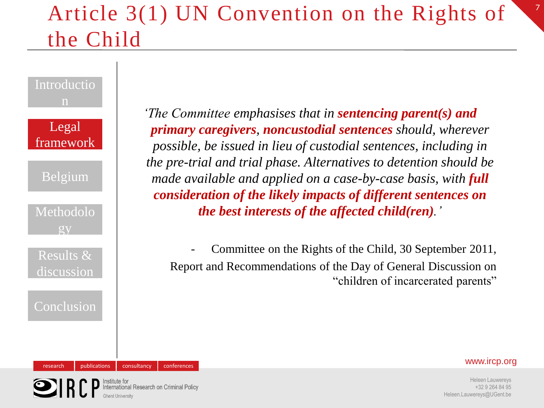# Article 3(1) UN Convention on the Rights of the Child

## Introductio n

Legal framework

Belgium

Methodolo gy

Results & discussion

Conclusion

*'The Committee emphasises that in sentencing parent(s) and primary caregivers, noncustodial sentences should, wherever possible, be issued in lieu of custodial sentences, including in the pre-trial and trial phase. Alternatives to detention should be made available and applied on a case-by-case basis, with full consideration of the likely impacts of different sentences on the best interests of the affected child(ren).'*

Committee on the Rights of the Child, 30 September 2011, Report and Recommendations of the Day of General Discussion on "children of incarcerated parents"

### research publications consultancy conferences conferences www.ircp.org

7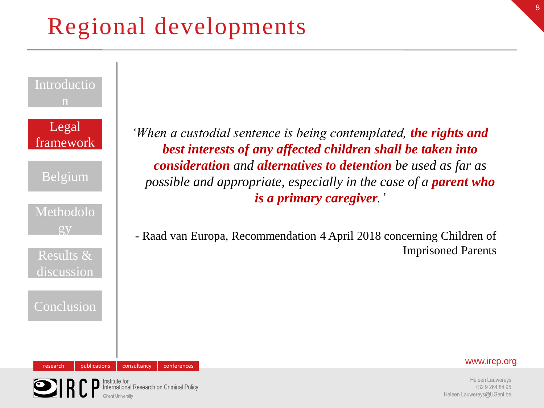# Regional developments



*'When a custodial sentence is being contemplated, the rights and best interests of any affected children shall be taken into consideration and alternatives to detention be used as far as possible and appropriate, especially in the case of a <i>parent who is a primary caregiver.'*

- Raad van Europa, Recommendation 4 April 2018 concerning Children of Imprisoned Parents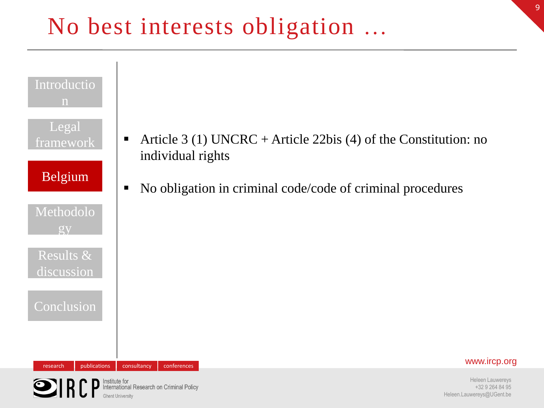# No best interests obligation …



Institute for<br>International Research on Criminal Policy  $\bigcirc$ ir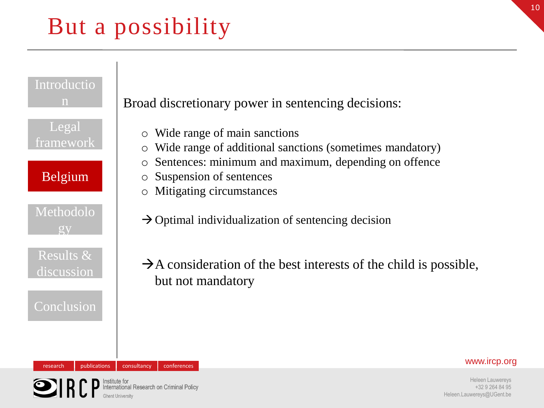# But a possibility



### research publications consultancy conferences conferences www.ircp.org

Heleen Lauwereys +32 9 264 84 95 Heleen.Lauwereys@UGent.be

nstitute for<br>nternational Research on Criminal Policy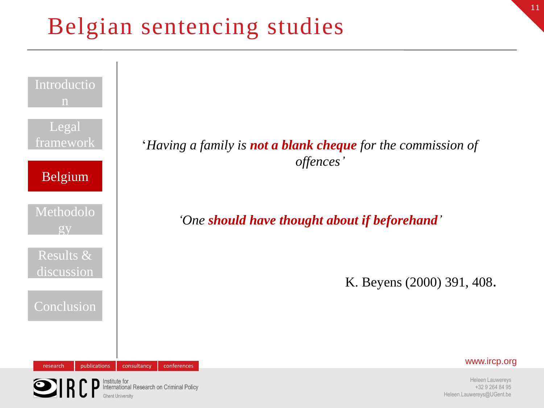# Belgian sentencing studies

 $\bigcirc$ ir

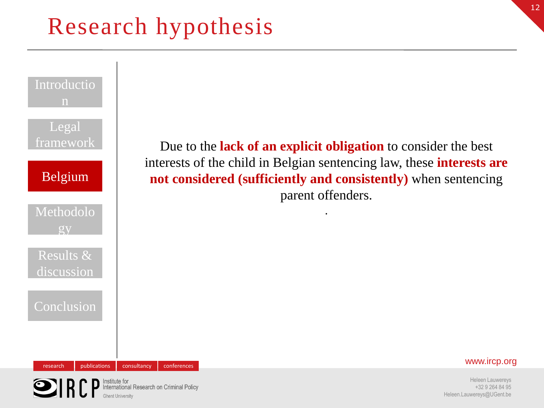# Research hypothesis

Institute for<br>International Research on Criminal Policy

 $\bigcirc$ IRI

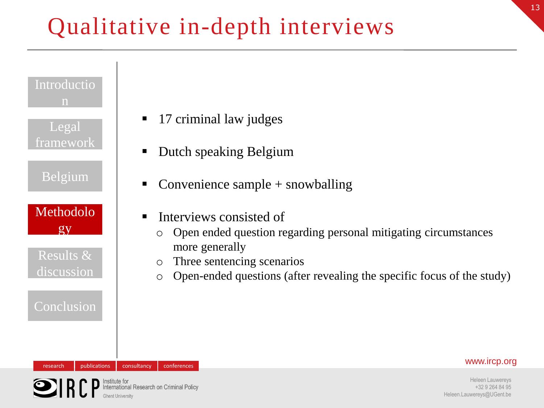# Qualitative in-depth interviews



Institute for<br>International Research on Criminal Policy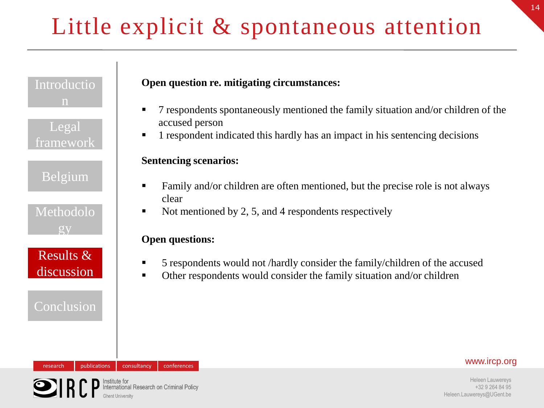# Little explicit & spontaneous attention

Introductio n

Legal framework

Belgium

Methodolo gy

Results & discussion

## Conclusion

### **Open question re. mitigating circumstances:**

- 7 respondents spontaneously mentioned the family situation and/or children of the accused person
- **1** respondent indicated this hardly has an impact in his sentencing decisions

### **Sentencing scenarios:**

- Family and/or children are often mentioned, but the precise role is not always clear
- Not mentioned by 2, 5, and 4 respondents respectively

### **Open questions:**

- 5 respondents would not /hardly consider the family/children of the accused
- Other respondents would consider the family situation and/or children

### research publications consultancy conferences conferences www.ircp.org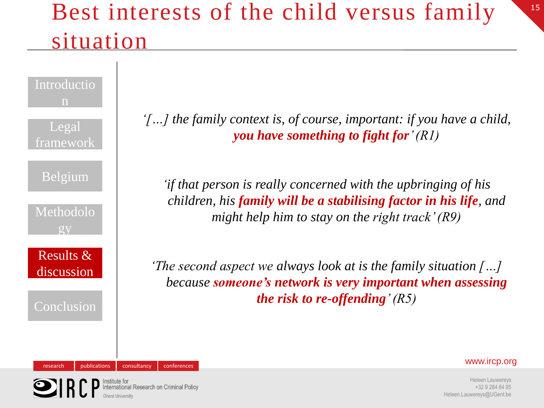# Best interests of the child versus family situation

Introductio n Legal framework Belgium Methodolo gy Results & discussion Conclusion

*'[…] the family context is, of course, important: if you have a child, you have something to fight for' (R1)*

*'if that person is really concerned with the upbringing of his children, his family will be a stabilising factor in his life, and might help him to stay on the right track' (R9)*

*'The second aspect we always look at is the family situation […] because someone's network is very important when assessing the risk to re-offending' (R5)*

research publications consultancy conferences conferences www.ircp.org

Heleen Lauwereys +32 9 264 84 95 Heleen.Lauwereys@UGent.be

onal Research on Criminal Policy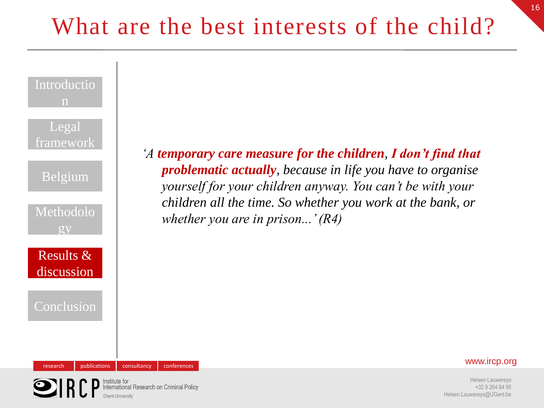| Introductio<br>$\mathbf n$<br>Legal<br>framework<br>Belgium<br>Methodolo<br>QV |              |             |             | 'A temporary care measure for the children, I don't find that<br><b>problematic actually</b> , because in life you have to organise<br>yourself for your children anyway. You can't be with your<br>children all the time. So whether you work at the bank, or<br>whether you are in prison' $(R4)$ |  |
|--------------------------------------------------------------------------------|--------------|-------------|-------------|-----------------------------------------------------------------------------------------------------------------------------------------------------------------------------------------------------------------------------------------------------------------------------------------------------|--|
| Results $\&$<br>discussion<br>Conclusion                                       |              |             |             |                                                                                                                                                                                                                                                                                                     |  |
| research                                                                       | publications | consultancy | conferences | www.ircp.org                                                                                                                                                                                                                                                                                        |  |



Heleen Lauwereys +32 9 264 84 95 Heleen.Lauwereys@UGent.be 16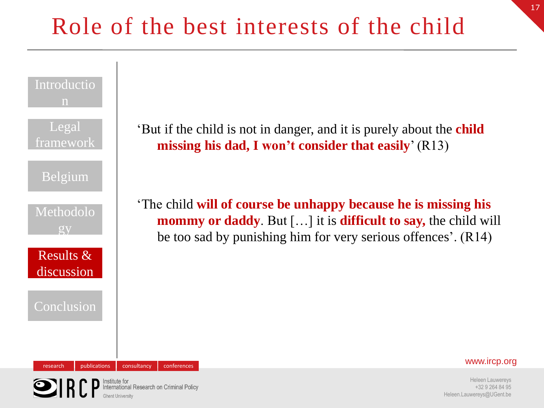

Institute for<br>International Research on Criminal Policy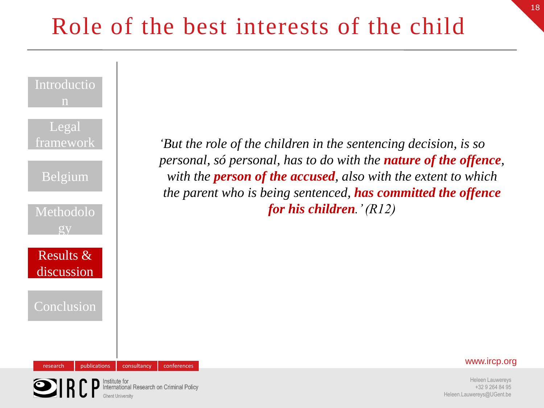# Role of the best interests of the child



Institute for<br>International Research on Criminal Policy

Heleen.Lauwereys@UGent.be

Heleen Lauwereys +32 9 264 84 95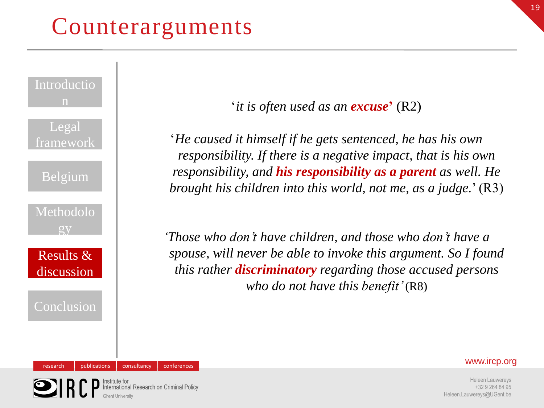# Counterarguments

Institute for<br>International Research on Criminal Policy



'*it is often used as an excuse***'** (R2)

'*He caused it himself if he gets sentenced, he has his own responsibility. If there is a negative impact, that is his own responsibility, and his responsibility as a parent as well. He brought his children into this world, not me, as a judge.*' (R3)

*'Those who don't have children, and those who don't have a spouse, will never be able to invoke this argument. So I found this rather discriminatory regarding those accused persons who do not have this benefit'* (R8)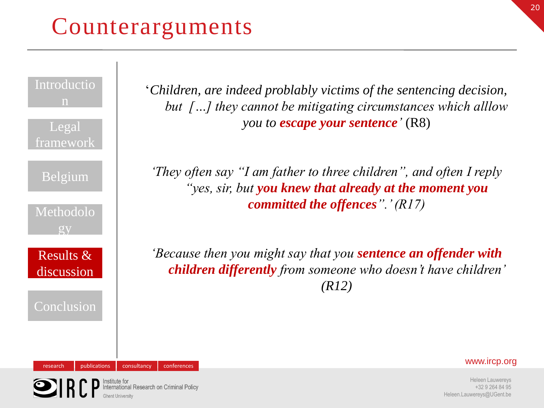# Counterarguments

Institute for<br>International Research on Criminal Policy

Introductio n

Legal framework

Belgium

Methodolo gy

Results & discussion

Conclusion

'*Children, are indeed problably victims of the sentencing decision, but […] they cannot be mitigating circumstances which alllow you to escape your sentence'* (R8)

*'They often say "I am father to three children", and often I reply "yes, sir, but you knew that already at the moment you committed the offences".' (R17)*

*'Because then you might say that you sentence an offender with children differently from someone who doesn't have children' (R12)*

research publications consultancy conferences conferences www.ircp.org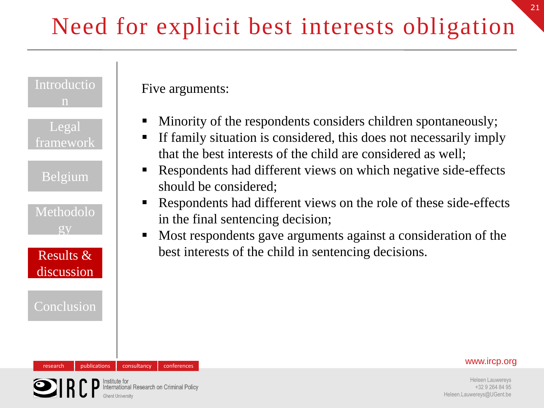# Need for explicit best interests obligation



nternational Research on Criminal Policy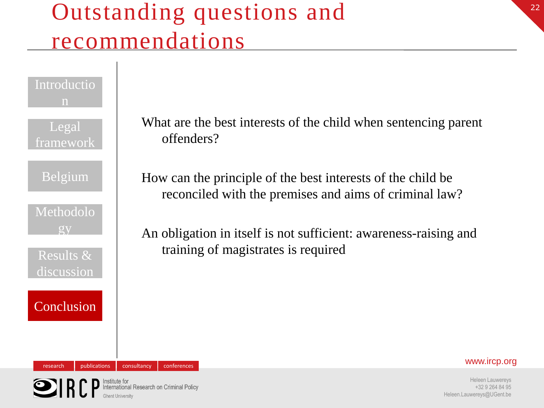# Outstanding questions and recommendations

### Introductio n

Legal framework

Belgium

Methodolo gy

Results & discussion

**Conclusion** 

What are the best interests of the child when sentencing parent offenders?

How can the principle of the best interests of the child be reconciled with the premises and aims of criminal law?

An obligation in itself is not sufficient: awareness-raising and training of magistrates is required



research publications consultancy conferences conferences www.ircp.org